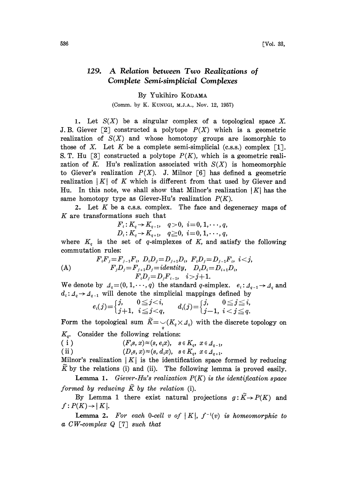## 129. A Relation between Two Realizations of Complete Semi-simplicial Complexes

## By Yukihiro KODAMA

(Comm. by K. KUNUGI, M.J.A., Nov. 12, 1957)

1. Let  $S(X)$  be a singular complex of a topological space X. J.B. Giever [2] constructed a polytope  $P(X)$  which is a geometric realization of  $S(X)$  and whose homotopy groups are isomorphic to those of X. Let K be a complete semi-simplicial (c.s.s.) complex [1]. S. T. Hu  $\lceil 3 \rceil$  constructed a polytope  $P(K)$ , which is a geometric realization of K. Hu's realization associated with  $S(X)$  is homeomorphic to Giever's realization  $P(X)$ . J. Milnor [6] has defined a geometric realization  $|K|$  of K which is different from that used by Giever and Hu. In this note, we shall show that Milnor's realization  $|K|$  has the same homotopy type as Giever-Hu's realization  $P(K)$ .

2. Let  $K$  be a c.s.s. complex. The face and degeneracy maps of K are transformations such that

$$
F_i: K_q \to K_{q-1}, \quad q > 0, \ \ i = 0, 1, \dots, q, D_i: K_q \to K_{q+1}, \quad q \ge 0, \ \ i = 0, 1, \dots, q,
$$

where  $K_q$  is the set of q-simplexes of K, and satisfy the following commutation rules:

(A)  
\n
$$
F_i F_j = F_{j-1} F_i, D_i D_j = D_{j+1} D_i, F_i D_j = D_{j-1} F_i, i < j,
$$
\n
$$
F_j D_j = F_{j+1} D_j = identity, D_i D_i = D_{i+1} D_i,
$$
\n
$$
F_i D_j = D_j F_{i-1}, i > j+1.
$$

We denote by  $d_q=(0, 1,\dots, q)$  the standard q-simplex.  $e_i: d_{q-1}\rightarrow d_q$  and  $d_i: A_q \rightarrow A_{q-1}$  will denote the simplicial mappings defined by

$$
e_i(j) = \begin{cases} j, & 0 \leq j < i, \\ j+1, & i \leq j < q, \end{cases} \qquad d_i(j) = \begin{cases} j, & 0 \leq j \leq i, \\ j-1, & i < j \leq q. \end{cases}
$$

Form the topological sum  $\widetilde{K}=\bigcup_q (K_q\times I_q)$  with the discrete topology on  $K_q$ . Consider the following relations:

( i )  $(F_i s, x) \approx (s, e_i x), \quad s \in K_a, \ x \in \Lambda_{a-1},$ 

(ii) 
$$
(D_i s, x) \approx (s, d_i x), \quad s \in K_q, \ x \in \mathcal{A}_{q+1}.
$$

Milnor's realization  $|K|$  is the identification space formed by reducing K by the relations (i) and (ii). The following lemma is proved easily.

**Lemma 1.** Giever-Hu's realization  $P(K)$  is the identification space formed by reducing  $\tilde{K}$  by the relation (i).

By Lemma 1 there exist natural projections  $g: \widetilde{K} \to P(K)$  and  $f: P(K) \rightarrow |K|$ .

**Lemma 2.** For each 0-cell v of  $|K|$ ,  $f^{-1}(v)$  is homeomorphic to a CW-complex  $Q \sim 7 \text{ and } R$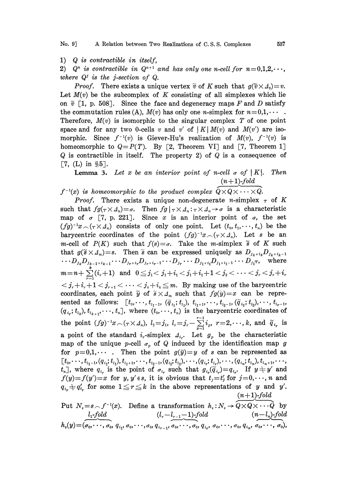1) Q is contractible in itself,

2)  $Q^n$  is contractible in  $Q^{n+1}$  and has only one n-cell for  $n=0,1,2,\cdots$ , where  $Q^j$  is the j-section of  $Q$ .

*Proof.* There exists a unique vertex  $\tilde{v}$  of K such that  $g(\tilde{v} \times \Delta_0)=v$ . Let  $M(v)$  be the subcomplex of K consisting of all simplexes which lie on  $\tilde{v}$  [1, p. 508]. Since the face and degeneracy maps F and D satisfy the commutation rules (A),  $M(v)$  has only one *n*-simplex for  $n=0,1,\cdots$ . Therefore,  $M(v)$  is isomorphic to the singular complex T of one point space and for any two 0-cells v and v' of  $|K| M(v)$  and  $M(v')$  are isomorphic. Since  $f^{-1}(v)$  is Giever-Hu's realization of  $M(v)$ ,  $f^{-1}(v)$  is homeomorphic to  $Q = P(T)$ . By [2, Theorem VI] and [7, Theorem 1]  $Q$  is contractible in itself. The property 2) of  $Q$  is a consequence of [7, (L) in  $\S5$ ].

**Lemma 3.** Let x be an interior point of n-cell  $\sigma$  of |K|. Then  $(n+1)$ -fold

 $f^{-1}(x)$  is homeomorphic to the product complex  $\widetilde{Q} \times Q \times \cdots \times \widetilde{Q}$ .

*Proof.* There exists a unique non-degenerate *n*-simplex  $\tau$  of K such that  $fg(\tau \times \Delta_n) = \sigma$ . Then  $fg | \tau \times \Delta_n : \tau \times \Delta_n \to \sigma$  is a characteristic map of  $\sigma$  [7, p. 221]. Since x is an interior point of  $\sigma$ , the set  $(fg)^{-1}x \frown (\tau \times A_n)$  consists of only one point. Let  $(t_0, t_1, \dots, t_n)$  be the barycentric coordinates of the point  $(fg)^{-1}x \frown (\tau \times A_n)$ . Let s be an m-cell of  $P(K)$  such that  $f(s) = \sigma$ . Take the m-simplex  $\tilde{s}$  of K such that  $g(\tilde{s} \times A_m) = s$ . Then  $\tilde{s}$  can be expressed uniquely as  $D_{j_k + i_k}D_{j_k + i_{k-1}}$  $\cdots D_{j_k} D_{j_{k-1}+i_{k-1}} \cdots D_{j_r+i_r} D_{j_r+i_r-1} \cdots D_{j_r} \cdots D_{j_1+i_1} D_{j_1+i_1-1} \cdots D_{j_1} \tau, \quad \text{where}$  $m\!=\!n\!+\sum\limits_{i}^{\infty}(i_{r}\!+\!1)$  and  $0\!\leq\!j_{1}\!<\!j_{1}\!+\!i_{1}\!<\!j_{1}\!+\!i_{1}\!+\!1\!<\!j_{2}\!<\cdots<\!j_{r}\!<\!j_{r}\!+\!i_{r}$  $\langle j_r+i_r+1\langle j_{r+1}\langle \cdots \langle j_k+i_k\leq m. \rangle \rangle$  By making use of the barycentric coordinates, each point  $\widetilde{y}$  of  $\widetilde{s} \times A_m$  such that  $fg(\widetilde{y})=x$  can be represented as follows:  $[t_0, \dots, t_{i_1-1}, (\tilde{q}_{i_1}; t_{i_1}), t_{i_1+1}, \dots, t_{i_2-1}, (\tilde{q}_{i_2}; t_{i_2}), \dots, t_{i_{r-1}},$  $(q_{i_r}; t_{i_k}), t_{i_{k+1}}, \dots, t_n$ , where  $(t_0, \dots, t_n)$  is the barycentric coordinates of the point  $(fg)^{-1}x \frown (\tau \times A_n)$ ,  $l_1 = j_1$ ,  $l_r = j_r - \sum_{p=1}^{r-1} i_p$ ,  $r = 2, \dots, k$ , and  $\tilde{q}_{i_r}$  is a point of the standard  $i_r$ -simplex  $A_{i_r}$ . Let  $g_p$  be the characteristic map of the unique p-cell  $\sigma_p$  of Q induced by the identification map g for  $p=0,1,\cdots$ . Then the point  $g(\tilde{y})=y$  of s can be represented as  $t_0, \dots, t_{l_1-1}, (q_{i_1}, t_{l_1}), t_{l_1+1}, \dots, t_{l_2-1},$  $\begin{array}{c} (L_0, \dots, t_{i_1-1}, (q_{i_1}, \iota_{i_1}), \iota_{i_1+1}, \dots, \iota_{i_{2}-1}, (q_{i_2}, \iota_{i_2}), \dots, (q_{i_r}, \iota_{i_r}), \dots, (q_{i_n}, \iota_{i_n}), \iota_{i_n+1}, \dots, \n\end{array}$  $f(y)=f(y')=x$  for  $y, y' \in s$ , it is obvious that  $t_j=t'_j$  for  $j=0,\dots, n$  and  $q_{i_r} \neq q'_{i_r}$  for some  $1 \leq r \leq k$  in the above representations of y and y'.  $(n+1)$ -fold

Put 
$$
N_s = s \frown f^{-1}(x)
$$
. Define a transformation  $h_s: N_s \to \widehat{Q} \times \widehat{Q} \times \cdots \widehat{Q}$  by  
\n $l_1 \frown \text{fold}$   $(l_r - l_{r-1} - 1) \frown \text{fold}$   $(n - l_n) \frown \text{fold}$   
\n $h_s(y) = (\sigma_0, \dots, \sigma_0, q_{i_1}, \sigma_0, \dots, \sigma_0, q_{i_{r-1}}, \sigma_0, \dots, \sigma_0, q_{i_r}, \sigma_0, \dots, \sigma_0, q_{i_n}, \sigma_0, \dots, \sigma_0),$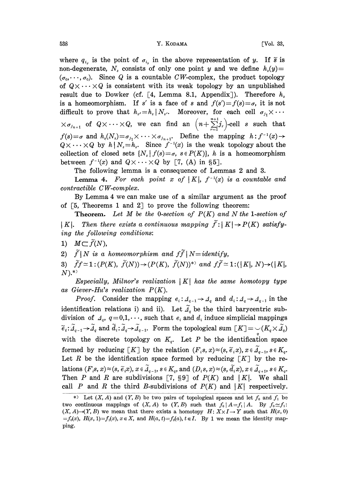where  $q_{i_r}$  is the point of  $\sigma_{i_r}$  in the above representation of y. If  $\tilde{s}$  is non-degenerate,  $N_s$  consists of only one point y and we define  $h_s(y) =$  $(\sigma_0, \dots, \sigma_n)$ . Since Q is a countable CW-complex, the product topology of  $Q \times \cdots \times Q$  is consistent with its weak topology by an unpublished result due to Dowker (cf.  $\lceil 4$ , Lemma 8.1, Appendix). Therefore  $h_s$ is a homeomorphism. If s' is a face of s and  $f(s')=f(s)=\sigma$ , it is not difficult to prove that  $h_{s'}=h_{s}\,|\,N_{s'}$ . Moreover, for each cell  $\sigma_{j_1}\times\cdots$ ifficult to prove that  $h_s = h_s \mid N_s$ . Moreover, for each cell  $\sigma_{j_1} \times \cdots \times \sigma_{j_{n+1}}$  of  $Q \times \cdots \times Q$ , we can find an  $\left(n + \sum_{r=1}^{n+1} j_r\right)$ -cell s such that  $f(s) = \sigma$  and  $h_s(N_s) = \sigma_{j_1} \times \cdots \times \sigma_{j_{n+1}}$ . Define the mapping  $h: f^{-1}(x) \to Q \times \cdots \times Q$  by  $h \mid N_s = h_s$ . Since  $f^{-1}(x)$  is the weak topology about the collection of closed sets  ${N_s | f(s) = \sigma, s \in P(K)}$ , h is a homeomorphism between  $f^{-1}(x)$  and  $Q \times \cdots \times Q$  by [7, (A) in §5].

The following lemma is a consequence of Lemmas 2 and 3.

**Lemma 4.** For each point x of | K|,  $f^{-1}(x)$  is a countable and contractible CW-complex.

By Lemma 4 we can make use of a similar argument as the proof of  $\lceil 5 \rceil$ . Theorems 1 and 2 to prove the following theorem:

**Theorem.** Let M be the 0-section of  $P(K)$  and N the 1-section of | K|. Then there exists a continuous mapping  $\tilde{f}:|K| \to P(K)$  satisfying the following conditions:

1)  $M\subset \widetilde{f}(N)$ ,

2)  $\widetilde{f}(N \text{ is a homeomorphism and } f\widetilde{f}(N=identity,$ 

3)  $\widetilde{f}f \simeq 1$ :  $(P(K), \widetilde{f}(N)) \rightarrow (P(K), \widetilde{f}(N))^{(*)}$  and  $f\widetilde{f} \simeq 1$ :  $(|K|, N) \rightarrow (|K|, N)$  $N$ ). $^{(*)}$ 

Especially, Milnor's realization  $|K|$  has the same homotopy type as Giever-Hu's realization  $P(K)$ .

*Proof.* Consider the mapping  $e_i: A_{q-1} \to A_q$  and  $d_i: A_q \to A_{q-1}$  in the identification relations i) and ii). Let  $\tilde{A}_q$  be the third barycentric subdivision of  $\Delta_q$ ,  $q=0,1,\cdots$ , such that  $e_i$  and  $d_i$  induce simplicial mappings  $\widetilde{e}_i:\widetilde{A}_{q-1}\to\widetilde{A}_q$  and  $\widetilde{d}_i:\widetilde{A}_q\to\widetilde{A}_{q-1}$ . Form the topological sum  $\lfloor K\rfloor = \bigcup (K_q\times\widetilde{A}_q)$ with the discrete topology on  $K_q$ . Let P be the identification space formed by reducing  $\lceil K \rceil$  by the relation  $(F_i s, x) \approx (s, \tilde{e}_i x), x \in \tilde{A}_{q-1}, s \in K_q$ . Let  $R$  be the identification space formed by reducing  $[K]$  by the relations  $(F_i s, x) \approx (s, \tilde{e}_i x), x \in \tilde{A}_{q-1}, s \in K_q$ , and  $(D_i s, x) \approx (s, \tilde{d}_i x), x \in \tilde{A}_{q+1}, s \in K_q$ . Then P and R are subdivisions [7, 89] of  $P(K)$  and  $|K|$ . We shall call P and R the third B-subdivisions of  $P(K)$  and  $|K|$  respectively.

<sup>\*)</sup> Let  $(X, A)$  and  $(Y, B)$  be two pairs of topological spaces and let  $f_0$  and  $f_1$  be two continuous mappings of  $(X, A)$  to  $(Y, B)$  such that  $f_0 |A = f_1 | A$ . By  $f_0 \simeq f_1$ :  $(X, A) \rightarrow (Y, B)$  we mean that there exists a homotopy  $H: X \times I \rightarrow Y$  such that  $H(x, 0)$  $=f_0(x)$ ,  $H(x, 1)=f_1(x)$ ,  $x \in X$ , and  $H(a, t)=f_0(a)$ ,  $t \in I$ . By 1 we mean the identity mapping.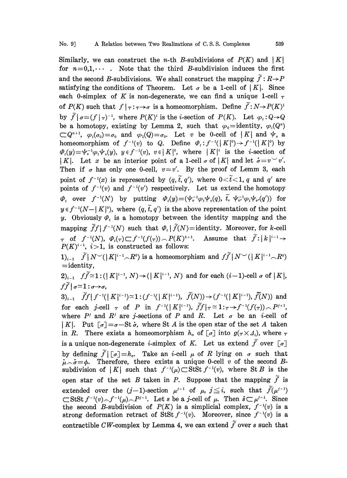Similarly, we can construct the *n*-th *B*-subdivisions of  $P(K)$  and  $|K|$ for  $n=0,1,\cdots$ . Note that the third B-subdivision induces the first and the second B-subdivisions. We shall construct the mapping  $\tilde{f}: R \rightarrow P$ satisfying the conditions of Theorem. Let  $\sigma$  be a 1-cell of | K|. Since each 0-simplex of K is non-degenerate, we can find a unique 1-cell  $\tau$ of  $P(K)$  such that  $f |_{\tau} :_{\tau \to \sigma}$  is a homeomorphism. Define  $\tilde{f} : N \to P(K)^{1}$ by  $\widetilde{f} | \sigma = (f | \tau)^{-1}$ , where  $P(K)^i$  is the *i*-section of  $P(K)$ . Let  $\varphi_t : Q \to Q$ be a homotopy, existing by Lemma 2, such that  $\varphi_0 =$  identity,  $\varphi_i(Q^i)$  $\subset Q^{n+1}$ ,  $\varphi_{\iota}(\sigma_0)=\sigma_0$  and  $\varphi_1(Q)=\sigma_0$ . Let v be 0-cell of |K| and  $\psi_n$  a homeomorphism of  $f^{-1}(v)$  to Q. Define  $\varPhi_t: f^{-1}(|K|^0) \to f^{-1}(|K|^0)$  by  $\varPhi_t(y)=\psi_v^{-1}\varphi_t\psi_v(y), \ y\in f^{-1}(y), \ v\in |K|^0, \ \text{where} \ |K|^i \ \text{is the } i\text{-section of }$ | K|. Let x be an interior point of a 1-cell  $\sigma$  of | K| and let  $\dot{\sigma} = v^{\vee}v'$ . Then if  $\sigma$  has only one 0-cell,  $v=v'$ . By the proof of Lemm 3, each point of  $f^{-1}(x)$  is represented by  $(q, \tilde{t}, q')$ , where  $0 < \tilde{t} < 1$ , q and q' are points of  $f^{-1}(v)$  and  $f^{-1}(v')$  respectively. Let us extend the homotopy  $\varphi_t$  over  $f^{-1}(N)$  by putting  $\varphi_t(y)=(\psi_v^{-1}\varphi_t\psi_v(q), \tilde{t}, \psi_v^{-1}\varphi_t\psi_v(q'))$  for  $y \in f^{-1}(N-|K|^{\circ})$ , where  $(q, \tilde{t}, q')$  is the above representation of the point y. Obviously  $\varPhi_t$  is a homotopy between the identity mapping and the mapping  $\widetilde{f}f | f^{-1}(N)$  such that  $\varPhi_t | \widetilde{f}(N)=$  identity. Moreover, for k-cell  $\tau$  of  $f^{-1}(N)$ ,  $\varPhi_t(\tau) \subset f^{-1}(f(\tau)) \frown P(K)^{k+1}$ . Assume that  $\widetilde{f}$ :  $|k|^{i-1} \rightarrow$  $P(K)^{i-1}$ ,  $i>1$ , is constructed as follows:

 $1)_{i-1}$   $\widetilde{f} | N^{\smile}(|K|^{i-1}\frown R^0)$  is a homeomorphism and  $f\widetilde{f} | N^{\smile}(|K|^{i-1}\frown R^0)$  $=$ identity,

 $2)_{i-1}$   $f\widetilde{f}\cong 1$ :  $(| K |^{i-1}, N) \rightarrow (| K |^{i-1}, N)$  and for each  $(i-1)$ -cell  $\sigma$  of  $| K |$ ,  $f\widetilde{f} | \sigma \widetilde{\sim} 1$ :  $\sigma \rightarrow \sigma$ ,

 $3)_{i-1}$   $\widetilde{f}f(f^{-1}(|K|^{i-1})\simeq 1:(f^{-1}(|K|^{i-1}), \widetilde{f}(N))\rightarrow (f^{-1}(|K|^{i-1}), \widetilde{f}(N))$  and for each j-cell  $\tau$  of P in  $f^{-1}(|K|^{i-1}), \widetilde{ff}|\tau \simeq 1$ : $\tau \to f^{-1}(f(\tau)) \sim P^{j+1}$ , where  $P<sup>j</sup>$  and  $R<sup>j</sup>$  are j-sections of P and R. Let  $\sigma$  be an *i*-cell of | K|. Put  $\lceil \sigma \rceil = \sigma - \text{St } \dot{\sigma}$ , where St A is the open star of the set A taken in R. There exists a homeomorphism  $h_{\sigma}$  of  $[\sigma]$  into  $g(\tau \times \Lambda_i)$ , where  $\tau$ is a unique non-degenerate *i*-simplex of K. Let us extend  $\tilde{f}$  over  $\lceil \sigma \rceil$ by defining  $\tilde{f} | [\sigma]=h_{\sigma}$ . Take an *i*-cell  $\mu$  of R lying on  $\sigma$  such that  $\mu \sim \sigma = \phi$ . Therefore, there exists a unique 0-cell v of the second Bsubdivision of  $|K|$  such that  $f^{-1}(\mu) \subset \text{StSt } f^{-1}(v)$ , where St B is the open star of the set B taken in P. Suppose that the mapping  $\tilde{f}$  is extended over the  $(j-1)$ -section  $\mu^{j-1}$  of  $\mu$ ,  $j \leq i$ , such that  $\widetilde{f}(\mu^{j-1})$  $\subset$ StSt  $f^{-1}(v) \cap f^{-1}(\mu) \cap P^{j-1}$ . Let s be a j-cell of  $\mu$ . Then  $s \subset \mu^{j-1}$ . Since  $\mu^{j-1}$ . Since<br> $f^{-1}(v)$  is a<br> $f^{-1}(v)$  is a<br>s such that the second B-subdivision of  $P(K)$  is a simplicial complex,  $f^{-1}(v)$  is a strong deformation retract of StSt  $f^{-1}(v)$ . Moreover, since  $f^{-1}(v)$  is a contractible CW-complex by Lemma 4, we can extend  $\tilde{f}$  over s such that